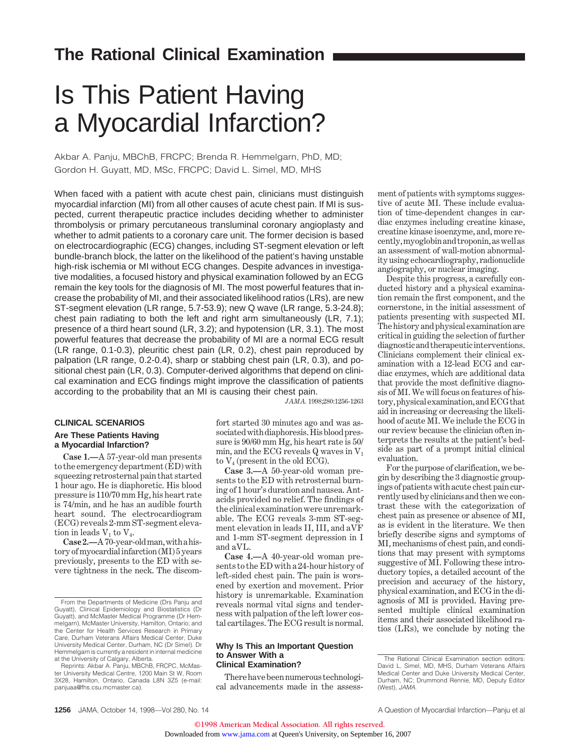# **The Rational Clinical Examination**

# Is This Patient Having a Myocardial Infarction?

Akbar A. Panju, MBChB, FRCPC; Brenda R. Hemmelgarn, PhD, MD; Gordon H. Guyatt, MD, MSc, FRCPC; David L. Simel, MD, MHS

When faced with a patient with acute chest pain, clinicians must distinguish myocardial infarction (MI) from all other causes of acute chest pain. If MI is suspected, current therapeutic practice includes deciding whether to administer thrombolysis or primary percutaneous transluminal coronary angioplasty and whether to admit patients to a coronary care unit. The former decision is based on electrocardiographic (ECG) changes, including ST-segment elevation or left bundle-branch block, the latter on the likelihood of the patient's having unstable high-risk ischemia or MI without ECG changes. Despite advances in investigative modalities, a focused history and physical examination followed by an ECG remain the key tools for the diagnosis of MI. The most powerful features that increase the probability of MI, and their associated likelihood ratios (LRs), are new ST-segment elevation (LR range, 5.7-53.9); new Q wave (LR range, 5.3-24.8); chest pain radiating to both the left and right arm simultaneously (LR, 7.1); presence of a third heart sound (LR, 3.2); and hypotension (LR, 3.1). The most powerful features that decrease the probability of MI are a normal ECG result (LR range, 0.1-0.3), pleuritic chest pain (LR, 0.2), chest pain reproduced by palpation (LR range, 0.2-0.4), sharp or stabbing chest pain (LR, 0.3), and positional chest pain (LR, 0.3). Computer-derived algorithms that depend on clinical examination and ECG findings might improve the classification of patients according to the probability that an MI is causing their chest pain.

*JAMA.* 1998;280:1256-1263

# **CLINICAL SCENARIOS Are These Patients Having a Myocardial Infarction?**

**Case 1.—**A 57-year-old man presents to the emergency department (ED) with squeezing retrosternal pain that started 1 hour ago. He is diaphoretic. His blood pressure is 110/70 mm Hg, his heart rate is 74/min, and he has an audible fourth heart sound. The electrocardiogram (ECG) reveals 2-mm ST-segment elevation in leads  $V_1$  to  $V_4$ .

**Case2.—**A70-year-oldman,withahistory of myocardial infarction (MI) 5 years previously, presents to the ED with severe tightness in the neck. The discomfort started 30 minutes ago and was associated with diaphoresis. His blood pressure is 90/60 mm Hg, his heart rate is 50/ min, and the ECG reveals  $Q$  waves in  $V_1$ to  $V_4$  (present in the old ECG).

**Case 3.—**A 50-year-old woman presents to the ED with retrosternal burning of 1 hour's duration and nausea. Antacids provided no relief. The findings of theclinicalexaminationwereunremarkable. The ECG reveals 3-mm ST-segment elevation in leads II, III, and aVF and 1-mm ST-segment depression in I and aVL.

**Case 4.—**A 40-year-old woman presents to the ED with a 24-hour history of left-sided chest pain. The pain is worsened by exertion and movement. Prior history is unremarkable. Examination reveals normal vital signs and tenderness with palpation of the left lower costal cartilages. The ECG result is normal.

#### **Why Is This an Important Question to Answer With a Clinical Examination?**

Therehavebeennumeroustechnological advancements made in the assess-

ment of patients with symptoms suggestive of acute MI. These include evaluation of time-dependent changes in cardiac enzymes including creatine kinase, creatine kinase isoenzyme, and, more recently,myoglobinandtroponin,aswellas an assessment of wall-motion abnormality using echocardiography, radionuclide angiography, or nuclear imaging.

Despite this progress, a carefully conducted history and a physical examination remain the first component, and the cornerstone, in the initial assessment of patients presenting with suspected MI. The history and physical examination are critical in guiding the selection of further diagnostic and therapeutic interventions. Clinicians complement their clinical examination with a 12-lead ECG and cardiac enzymes, which are additional data that provide the most definitive diagnosis of MI. We will focus on features of history,physicalexamination,andECGthat aid in increasing or decreasing the likelihood of acute MI. We include the ECG in our review because the clinician often interprets the results at the patient's bedside as part of a prompt initial clinical evaluation.

For the purpose of clarification, we begin by describing the 3 diagnostic groupings of patients with acute chest pain currently used by clinicians and then we contrast these with the categorization of chest pain as presence or absence of MI, as is evident in the literature. We then briefly describe signs and symptoms of MI, mechanisms of chest pain, and conditions that may present with symptoms suggestive of MI. Following these introductory topics, a detailed account of the precision and accuracy of the history, physical examination, and ECG in the diagnosis of MI is provided. Having presented multiple clinical examination items and their associated likelihood ratios (LRs), we conclude by noting the

From the Departments of Medicine (Drs Panju and Guyatt), Clinical Epidemiology and Biostatistics (Dr Guyatt), and McMaster Medical Programme (Dr Hemmelgarn), McMaster University, Hamilton, Ontario; and the Center for Health Services Research in Primary Care, Durham Veterans Affairs Medical Center, Duke University Medical Center, Durham, NC (Dr Simel). Dr Hemmelgarn is currently a resident in internal medicine at the University of Calgary, Alberta.

Reprints: Akbar A. Panju, MBChB, FRCPC, McMaster University Medical Centre, 1200 Main St W, Room 3X28, Hamilton, Ontario, Canada L8N 3Z5 (e-mail: panjuaa@fhs.csu.mcmaster.ca).

The Rational Clinical Examination section editors: David L. Simel, MD, MHS, Durham Veterans Affairs Medical Center and Duke University Medical Center, Durham, NC; Drummond Rennie, MD, Deputy Editor (West), JAMA.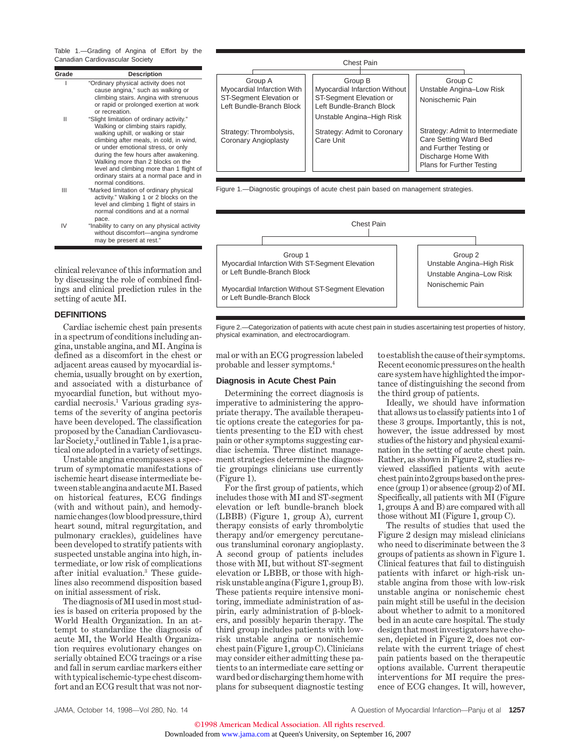Table 1.—Grading of Angina of Effort by the Canadian Cardiovascular Society

| Grade | <b>Description</b>                                                                                                                                                                                                                                                                                                                                                                                 |
|-------|----------------------------------------------------------------------------------------------------------------------------------------------------------------------------------------------------------------------------------------------------------------------------------------------------------------------------------------------------------------------------------------------------|
|       | "Ordinary physical activity does not<br>cause angina," such as walking or<br>climbing stairs. Angina with strenuous<br>or rapid or prolonged exertion at work<br>or recreation.                                                                                                                                                                                                                    |
| Ш     | "Slight limitation of ordinary activity."<br>Walking or climbing stairs rapidly,<br>walking uphill, or walking or stair<br>climbing after meals, in cold, in wind,<br>or under emotional stress, or only<br>during the few hours after awakening.<br>Walking more than 2 blocks on the<br>level and climbing more than 1 flight of<br>ordinary stairs at a normal pace and in<br>normal conditions |
| Ш     | "Marked limitation of ordinary physical<br>activity." Walking 1 or 2 blocks on the<br>level and climbing 1 flight of stairs in<br>normal conditions and at a normal<br>pace.                                                                                                                                                                                                                       |
| IV    | "Inability to carry on any physical activity<br>without discomfort-angina syndrome<br>may be present at rest."                                                                                                                                                                                                                                                                                     |

clinical relevance of this information and by discussing the role of combined findings and clinical prediction rules in the setting of acute MI.

# **DEFINITIONS**

Cardiac ischemic chest pain presents in a spectrum of conditions including angina, unstable angina, and MI. Angina is defined as a discomfort in the chest or adjacent areas caused by myocardial ischemia, usually brought on by exertion, and associated with a disturbance of myocardial function, but without myocardial necrosis.1 Various grading systems of the severity of angina pectoris have been developed. The classification proposed by the Canadian Cardiovascular Society,<sup>2</sup> outlined in Table 1, is a practical one adopted in a variety of settings.

Unstable angina encompasses a spectrum of symptomatic manifestations of ischemic heart disease intermediate betweenstableanginaandacuteMI.Based on historical features, ECG findings (with and without pain), and hemodynamicchanges(lowbloodpressure,third heart sound, mitral regurgitation, and pulmonary crackles), guidelines have been developed to stratify patients with suspected unstable angina into high, intermediate, or low risk of complications after initial evaluation.3 These guidelines also recommend disposition based on initial assessment of risk.

The diagnosis of MI used in most studies is based on criteria proposed by the World Health Organization. In an attempt to standardize the diagnosis of acute MI, the World Health Organization requires evolutionary changes on serially obtained ECG tracings or a rise and fall in serum cardiac markers either with typical ischemic-type chest discomfort and an ECG result that was not nor-



Figure 1.—Diagnostic groupings of acute chest pain based on management strategies.



Figure 2.—Categorization of patients with acute chest pain in studies ascertaining test properties of history, physical examination, and electrocardiogram.

mal or with an ECG progression labeled probable and lesser symptoms.4

#### **Diagnosis in Acute Chest Pain**

Determining the correct diagnosis is imperative to administering the appropriate therapy. The available therapeutic options create the categories for patients presenting to the ED with chest pain or other symptoms suggesting cardiac ischemia. Three distinct management strategies determine the diagnostic groupings clinicians use currently (Figure 1).

For the first group of patients, which includes those with MI and ST-segment elevation or left bundle-branch block (LBBB) (Figure 1, group A), current therapy consists of early thrombolytic therapy and/or emergency percutaneous transluminal coronary angioplasty. A second group of patients includes those with MI, but without ST-segment elevation or LBBB, or those with highrisk unstable angina (Figure 1, group B). These patients require intensive monitoring, immediate administration of aspirin, early administration of  $\beta$ -blockers, and possibly heparin therapy. The third group includes patients with lowrisk unstable angina or nonischemic chestpain(Figure1,groupC).Clinicians may consider either admitting these patients to an intermediate care setting or ward bed or discharging them home with plans for subsequent diagnostic testing to establish the cause of their symptoms. Recenteconomicpressuresonthehealth care system have highlighted the importance of distinguishing the second from the third group of patients.

Ideally, we should have information that allows us to classify patients into 1 of these 3 groups. Importantly, this is not, however, the issue addressed by most studies of the history and physical examination in the setting of acute chest pain. Rather, as shown in Figure 2, studies reviewed classified patients with acute chest pain into 2 groups based on the presence (group 1) or absence (group 2) of MI. Specifically, all patients with MI (Figure 1, groups A and B) are compared with all those without MI (Figure 1, group C).

The results of studies that used the Figure 2 design may mislead clinicians who need to discriminate between the 3 groups of patients as shown in Figure 1. Clinical features that fail to distinguish patients with infarct or high-risk unstable angina from those with low-risk unstable angina or nonischemic chest pain might still be useful in the decision about whether to admit to a monitored bed in an acute care hospital. The study design that most investigators have chosen, depicted in Figure 2, does not correlate with the current triage of chest pain patients based on the therapeutic options available. Current therapeutic interventions for MI require the presence of ECG changes. It will, however,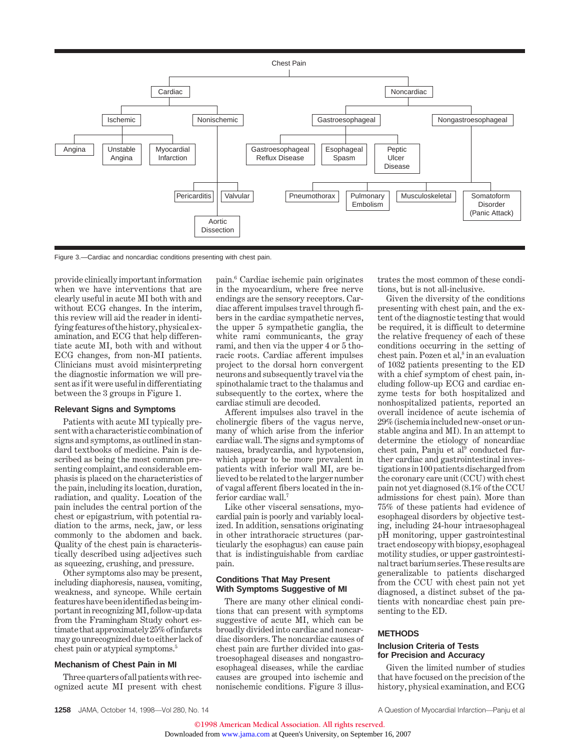

Figure 3.—Cardiac and noncardiac conditions presenting with chest pain.

provide clinically important information when we have interventions that are clearly useful in acute MI both with and without ECG changes. In the interim, this review will aid the reader in identifying features of the history, physical examination, and ECG that help differentiate acute MI, both with and without ECG changes, from non-MI patients. Clinicians must avoid misinterpreting the diagnostic information we will present as if it were useful in differentiating between the 3 groups in Figure 1.

#### **Relevant Signs and Symptoms**

Patients with acute MI typically present with a characteristic combination of signs and symptoms, as outlined in standard textbooks of medicine. Pain is described as being the most common presenting complaint, and considerable emphasis is placed on the characteristics of the pain, including its location, duration, radiation, and quality. Location of the pain includes the central portion of the chest or epigastrium, with potential radiation to the arms, neck, jaw, or less commonly to the abdomen and back. Quality of the chest pain is characteristically described using adjectives such as squeezing, crushing, and pressure.

Other symptoms also may be present, including diaphoresis, nausea, vomiting, weakness, and syncope. While certain featureshavebeenidentifiedasbeingimportant in recognizing MI, follow-up data from the Framingham Study cohort estimatethatapproximately25%ofinfarcts may go unrecognized due to either lack of chest pain or atypical symptoms.<sup>5</sup>

## **Mechanism of Chest Pain in MI**

Three quarters of all patients with recognized acute MI present with chest

pain.6 Cardiac ischemic pain originates in the myocardium, where free nerve endings are the sensory receptors. Cardiac afferent impulses travel through fibers in the cardiac sympathetic nerves, the upper 5 sympathetic ganglia, the white rami communicants, the gray rami, and then via the upper 4 or 5 thoracic roots. Cardiac afferent impulses project to the dorsal horn convergent neurons and subsequently travel via the spinothalamic tract to the thalamus and subsequently to the cortex, where the cardiac stimuli are decoded.

Afferent impulses also travel in the cholinergic fibers of the vagus nerve, many of which arise from the inferior cardiac wall. The signs and symptoms of nausea, bradycardia, and hypotension, which appear to be more prevalent in patients with inferior wall MI, are believed to be related to the larger number of vagal afferent fibers located in the inferior cardiac wall.7

Like other visceral sensations, myocardial pain is poorly and variably localized. In addition, sensations originating in other intrathoracic structures (particularly the esophagus) can cause pain that is indistinguishable from cardiac pain.

## **Conditions That May Present With Symptoms Suggestive of MI**

There are many other clinical conditions that can present with symptoms suggestive of acute MI, which can be broadly divided into cardiac and noncardiac disorders. The noncardiac causes of chest pain are further divided into gastroesophageal diseases and nongastroesophageal diseases, while the cardiac causes are grouped into ischemic and nonischemic conditions. Figure 3 illus-

trates the most common of these conditions, but is not all-inclusive.

Given the diversity of the conditions presenting with chest pain, and the extent of the diagnostic testing that would be required, it is difficult to determine the relative frequency of each of these conditions occurring in the setting of chest pain. Pozen et al,<sup>8</sup> in an evaluation of 1032 patients presenting to the ED with a chief symptom of chest pain, including follow-up ECG and cardiac enzyme tests for both hospitalized and nonhospitalized patients, reported an overall incidence of acute ischemia of 29% (ischemia included new-onset or unstable angina and MI). In an attempt to determine the etiology of noncardiac chest pain, Panju et al<sup>9</sup> conducted further cardiac and gastrointestinal investigations in 100 patients discharged from the coronary care unit (CCU) with chest pain not yet diagnosed (8.1% of the CCU admissions for chest pain). More than 75% of these patients had evidence of esophageal disorders by objective testing, including 24-hour intraesophageal pH monitoring, upper gastrointestinal tract endoscopy with biopsy, esophageal motility studies, or upper gastrointestinaltractbariumseries.Theseresultsare generalizable to patients discharged from the CCU with chest pain not yet diagnosed, a distinct subset of the patients with noncardiac chest pain presenting to the ED.

#### **METHODS**

# **Inclusion Criteria of Tests for Precision and Accuracy**

Given the limited number of studies that have focused on the precision of the history, physical examination, and ECG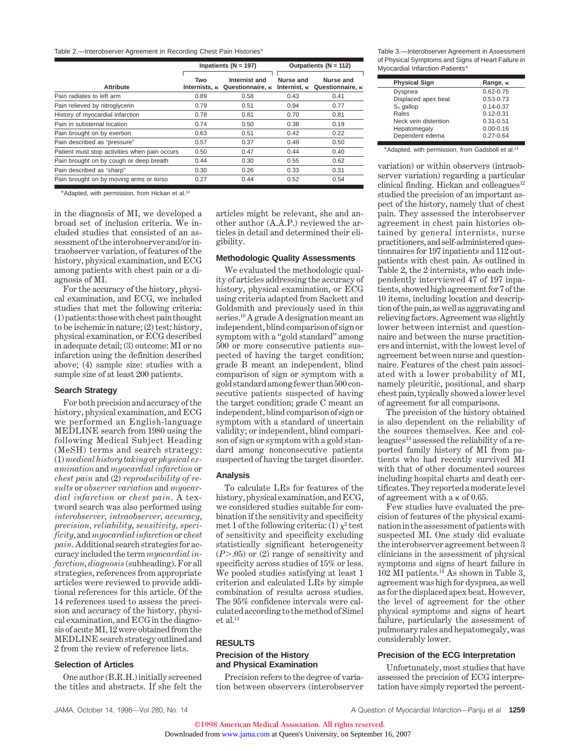#### Table 2.—Interobserver Agreement in Recording Chest Pain Histories\*

|                                               | Inpatients ( $N = 197$ ) |                                   | Outpatients ( $N = 112$ )        |                               |
|-----------------------------------------------|--------------------------|-----------------------------------|----------------------------------|-------------------------------|
| <b>Attribute</b>                              | Two<br>Internists, k     | Internist and<br>Questionnaire, k | Nurse and<br>Internist, $\kappa$ | Nurse and<br>Questionnaire, k |
| Pain radiates to left arm                     | 0.89                     | 0.58                              | 0.43                             | 0.41                          |
| Pain relieved by nitroglycerin                | 0.79                     | 0.51                              | 0.94                             | 0.77                          |
| History of myocardial infarction              | 0.78                     | 0.81                              | 0.70                             | 0.81                          |
| Pain in substernal location                   | 0.74                     | 0.50                              | 0.38                             | 0.19                          |
| Pain brought on by exertion                   | 0.63                     | 0.51                              | 0.42                             | 0.22                          |
| Pain described as "pressure"                  | 0.57                     | 0.37                              | 0.49                             | 0.50                          |
| Patient must stop activities when pain occurs | 0.50                     | 0.47                              | 0.44                             | 0.40                          |
| Pain brought on by cough or deep breath       | 0.44                     | 0.30                              | 0.55                             | 0.62                          |
| Pain described as "sharp"                     | 0.30                     | 0.26                              | 0.33                             | 0.31                          |
| Pain brought on by moving arms or torso       | 0.27                     | 0.44                              | 0.52                             | 0.54                          |

\*Adapted, with permission, from Hickan et al.12

in the diagnosis of MI, we developed a broad set of inclusion criteria. We included studies that consisted of an assessment of the interobserver and/or intraobserver variation, of features of the history, physical examination, and ECG among patients with chest pain or a diagnosis of MI.

For the accuracy of the history, physical examination, and ECG, we included studies that met the following criteria:  $(1)$  patients: those with chest pain thought to be ischemic in nature; (2) test: history, physical examination, or ECG described in adequate detail; (3) outcome: MI or no infarction using the definition described above; (4) sample size: studies with a sample size of at least 200 patients.

#### **Search Strategy**

For both precision and accuracy of the history, physical examination, and ECG we performed an English-language MEDLINE search from 1980 using the following Medical Subject Heading (MeSH) terms and search strategy: (1)*medical history taking* or *physical examination*and *myocardial infarction*or *chest pain* and (2) *reproducibility of results* or *observer variation* and *myocardial infarction* or *chest pain*. A textword search was also performed using *interobserver, intraobserver, accuracy, precision, reliability, sensitivity, specificity*, and*myocardial infarction*or c*hest pain*. Additional search strategies for accuracy included the term*myocardial infarction*, *diagnosis* (subheading). For all strategies, references from appropriate articles were reviewed to provide additional references for this article. Of the 14 references used to assess the precision and accuracy of the history, physical examination, and ECG in the diagnosis of acute MI, 12 were obtained from the MEDLINE search strategy outlined and 2 from the review of reference lists.

# **Selection of Articles**

One author (B.R.H.) initially screened the titles and abstracts. If she felt the articles might be relevant, she and another author (A.A.P.) reviewed the articles in detail and determined their eligibility.

## **Methodologic Quality Assessments**

We evaluated the methodologic quality of articles addressing the accuracy of history, physical examination, or ECG using criteria adapted from Sackett and Goldsmith and previously used in this series.10A grade A designation meant an independent, blind comparison of sign or symptom with a "gold standard" among 500 or more consecutive patients suspected of having the target condition; grade B meant an independent, blind comparison of sign or symptom with a goldstandardamongfewerthan500consecutive patients suspected of having the target condition; grade C meant an independent, blind comparison of sign or symptom with a standard of uncertain validity; or independent, blind comparison of sign or symptom with a gold standard among nonconsecutive patients suspected of having the target disorder.

#### **Analysis**

To calculate LRs for features of the history, physical examination, and ECG, we considered studies suitable for combination if the sensitivity and specificity met 1 of the following criteria:  $(1)$   $\chi^2$  test of sensitivity and specificity excluding statistically significant heterogeneity  $(P>0.05)$  or  $(2)$  range of sensitivity and specificity across studies of 15% or less. We pooled studies satisfying at least 1 criterion and calculated LRs by simple combination of results across studies. The 95% confidence intervals were calculated according to the method of Simel  $et$  al. $11$ 

#### **RESULTS**

# **Precision of the History and Physical Examination**

Precision refers to the degree of variation between observers (interobserver

Table 3.—Interobserver Agreement in Assessment of Physical Symptoms and Signs of Heart Failure in Myocardial Infarction Patients\*

| <b>Physical Sign</b> | Range, <sub>K</sub> |
|----------------------|---------------------|
| Dyspnea              | $0.62 - 0.75$       |
| Displaced apex beat  | $0.53 - 0.73$       |
| $S3$ gallop          | $0.14 - 0.37$       |
| Rales                | $0.12 - 0.31$       |
| Neck vein distention | $0.31 - 0.51$       |
| Hepatomegaly         | $0.00 - 0.16$       |
| Dependent edema      | $0.27 - 0.64$       |

\*Adapted, with permission, from Gadsboll et al.14

variation) or within observers (intraobserver variation) regarding a particular clinical finding. Hickan and colleagues $12$ studied the precision of an important aspect of the history, namely that of chest pain. They assessed the interobserver agreement in chest pain histories obtained by general internists, nurse practitioners, and self-administered questionnaires for 197 inpatients and 112 outpatients with chest pain. As outlined in Table 2, the 2 internists, who each independently interviewed 47 of 197 inpatients, showed high agreement for 7 of the 10 items, including location and description of the pain, as well as aggravating and relieving factors. Agreement was slightly lower between internist and questionnaire and between the nurse practitioners and internist, with the lowest level of agreement between nurse and questionnaire. Features of the chest pain associated with a lower probability of MI, namely pleuritic, positional, and sharp chest pain, typically showed a lower level of agreement for all comparisons.

The precision of the history obtained is also dependent on the reliability of the sources themselves. Kee and colleagues<sup>13</sup> assessed the reliability of a reported family history of MI from patients who had recently survived MI with that of other documented sources including hospital charts and death certificates.Theyreportedamoderatelevel of agreement with a  $\kappa$  of 0.65.

Few studies have evaluated the precision of features of the physical examination in the assessment of patients with suspected MI. One study did evaluate the interobserver agreement between 3 clinicians in the assessment of physical symptoms and signs of heart failure in 102 MI patients.14 As shown in Table 3, agreement was high for dyspnea, as well as for the displaced apex beat. However, the level of agreement for the other physical symptoms and signs of heart failure, particularly the assessment of pulmonary rales and hepatomegaly, was considerably lower.

# **Precision of the ECG Interpretation**

Unfortunately, most studies that have assessed the precision of ECG interpretation have simply reported the percent-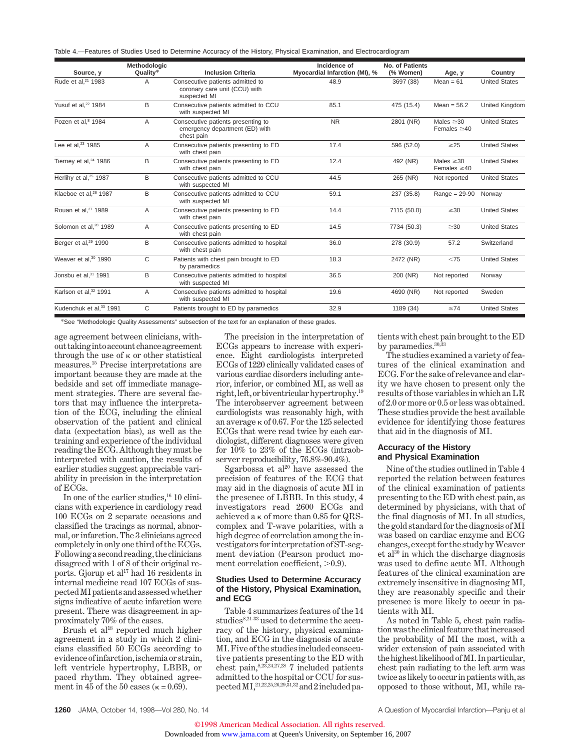| Table 4.—Features of Studies Used to Determine Accuracy of the History, Physical Examination, and Electrocardiogram |  |  |
|---------------------------------------------------------------------------------------------------------------------|--|--|
|---------------------------------------------------------------------------------------------------------------------|--|--|

|                                     | Methodologic |                                                                                    | Incidence of                  | No. of Patients |                                      |                      |
|-------------------------------------|--------------|------------------------------------------------------------------------------------|-------------------------------|-----------------|--------------------------------------|----------------------|
| Source, y                           | Quality*     | <b>Inclusion Criteria</b>                                                          | Myocardial Infarction (MI), % | (% Women)       | Age, y                               | Country              |
| Rude et al. <sup>21</sup> 1983      | Α            | Consecutive patients admitted to<br>coronary care unit (CCU) with<br>suspected MI  | 48.9                          | 3697 (38)       | $Mean = 61$                          | <b>United States</b> |
| Yusuf et al. <sup>22</sup> 1984     | B            | Consecutive patients admitted to CCU<br>with suspected MI                          | 85.1                          | 475 (15.4)      | Mean = $56.2$                        | United Kingdom       |
| Pozen et al, <sup>8</sup> 1984      | A            | Consecutive patients presenting to<br>emergency department (ED) with<br>chest pain | <b>NR</b>                     | 2801 (NR)       | Males $\geq 30$<br>Females $\geq 40$ | <b>United States</b> |
| Lee et al, <sup>23</sup> 1985       | A            | Consecutive patients presenting to ED<br>with chest pain                           | 17.4                          | 596 (52.0)      | $\geq$ 25                            | <b>United States</b> |
| Tierney et al, <sup>24</sup> 1986   | B            | Consecutive patients presenting to ED<br>with chest pain                           | 12.4                          | 492 (NR)        | Males $\geq 30$<br>Females $\geq 40$ | <b>United States</b> |
| Herlihy et al, <sup>25</sup> 1987   | B            | Consecutive patients admitted to CCU<br>with suspected MI                          | 44.5                          | 265 (NR)        | Not reported                         | <b>United States</b> |
| Klaeboe et al, <sup>26</sup> 1987   | B            | Consecutive patients admitted to CCU<br>with suspected MI                          | 59.1                          | 237 (35.8)      | $Range = 29-90$                      | Norway               |
| Rouan et al. <sup>27</sup> 1989     | A            | Consecutive patients presenting to ED<br>with chest pain                           | 14.4                          | 7115 (50.0)     | $\geq$ 30                            | <b>United States</b> |
| Solomon et al. <sup>28</sup> 1989   | A            | Consecutive patients presenting to ED<br>with chest pain                           | 14.5                          | 7734 (50.3)     | $\geq$ 30                            | <b>United States</b> |
| Berger et al, <sup>29</sup> 1990    | B            | Consecutive patients admitted to hospital<br>with chest pain                       | 36.0                          | 278 (30.9)      | 57.2                                 | Switzerland          |
| Weaver et al, <sup>30</sup> 1990    | C            | Patients with chest pain brought to ED<br>by paramedics                            | 18.3                          | 2472 (NR)       | $<$ 75                               | <b>United States</b> |
| Jonsbu et al. <sup>31</sup> 1991    | B            | Consecutive patients admitted to hospital<br>with suspected MI                     | 36.5                          | 200 (NR)        | Not reported                         | Norway               |
| Karlson et al, <sup>32</sup> 1991   | A            | Consecutive patients admitted to hospital<br>with suspected MI                     | 19.6                          | 4690 (NR)       | Not reported                         | Sweden               |
| Kudenchuk et al, <sup>33</sup> 1991 | C            | Patients brought to ED by paramedics                                               | 32.9                          | 1189 (34)       | $\leq 74$                            | <b>United States</b> |

\*See "Methodologic Quality Assessments" subsection of the text for an explanation of these grades.

age agreement between clinicians, without taking into account chance agreement through the use of  $\kappa$  or other statistical measures.15 Precise interpretations are important because they are made at the bedside and set off immediate management strategies. There are several factors that may influence the interpretation of the ECG, including the clinical observation of the patient and clinical data (expectation bias), as well as the training and experience of the individual reading the ECG. Although they must be interpreted with caution, the results of earlier studies suggest appreciable variability in precision in the interpretation of ECGs.

In one of the earlier studies,  $^{16}$  10 clinicians with experience in cardiology read 100 ECGs on 2 separate occasions and classified the tracings as normal, abnormal, or infarction. The 3 clinicians agreed completely in only one third of the ECGs. Followingasecondreading,theclinicians disagreed with 1 of 8 of their original reports. Gjorup et al<sup>17</sup> had 16 residents in internal medicine read 107 ECGs of suspectedMIpatientsandassessedwhether signs indicative of acute infarction were present. There was disagreement in approximately 70% of the cases.

Brush et al<sup>18</sup> reported much higher agreement in a study in which 2 clinicians classified 50 ECGs according to evidenceofinfarction,ischemiaorstrain, left ventricle hypertrophy, LBBB, or paced rhythm. They obtained agreement in 45 of the 50 cases ( $\kappa = 0.69$ ).

The precision in the interpretation of ECGs appears to increase with experience. Eight cardiologists interpreted ECGs of 1220 clinically validated cases of various cardiac disorders including anterior, inferior, or combined MI, as well as right,left,orbiventricularhypertrophy.19 The interobserver agreement between cardiologists was reasonably high, with an average  $\kappa$  of 0.67. For the 125 selected ECGs that were read twice by each cardiologist, different diagnoses were given for 10% to 23% of the ECGs (intraobserver reproducibility, 76.8%-90.4%).

Sgarbossa et al<sup>20</sup> have assessed the precision of features of the ECG that may aid in the diagnosis of acute MI in the presence of LBBB. In this study, 4 investigators read 2600 ECGs and achieved a k of more than 0.85 for QRScomplex and T-wave polarities, with a high degree of correlation among the investigators for interpretation of ST-segment deviation (Pearson product moment correlation coefficient,  $>0.9$ ).

# **Studies Used to Determine Accuracy of the History, Physical Examination, and ECG**

Table 4 summarizes features of the 14 studies<sup>8,21-33</sup> used to determine the accuracy of the history, physical examination, and ECG in the diagnosis of acute MI. Five of the studies included consecutive patients presenting to the ED with chest pain,  $8,23,24,27,28$  7 included patients admitted to the hospital or CCU for suspected MI,<sup>21,22,25,26,29,31,32</sup> and 2 included patients with chest pain brought to the ED by paramedics. $30,33$ 

The studies examined a variety of features of the clinical examination and ECG. For the sake of relevance and clarity we have chosen to present only the results of those variables in which an LR of 2.0 or more or 0.5 or less was obtained. These studies provide the best available evidence for identifying those features that aid in the diagnosis of MI.

#### **Accuracy of the History and Physical Examination**

Nine of the studies outlined in Table 4 reported the relation between features of the clinical examination of patients presenting to the ED with chest pain, as determined by physicians, with that of the final diagnosis of MI. In all studies, the gold standard for the diagnosis of MI was based on cardiac enzyme and ECG changes, except for the study by Weaver et al $^{30}$  in which the discharge diagnosis was used to define acute MI. Although features of the clinical examination are extremely insensitive in diagnosing MI, they are reasonably specific and their presence is more likely to occur in patients with MI.

As noted in Table 5, chest pain radiationwastheclinicalfeaturethatincreased the probability of MI the most, with a wider extension of pain associated with the highest likelihood of MI. In particular, chest pain radiating to the left arm was twice as likely to occur in patients with, as opposed to those without, MI, while ra-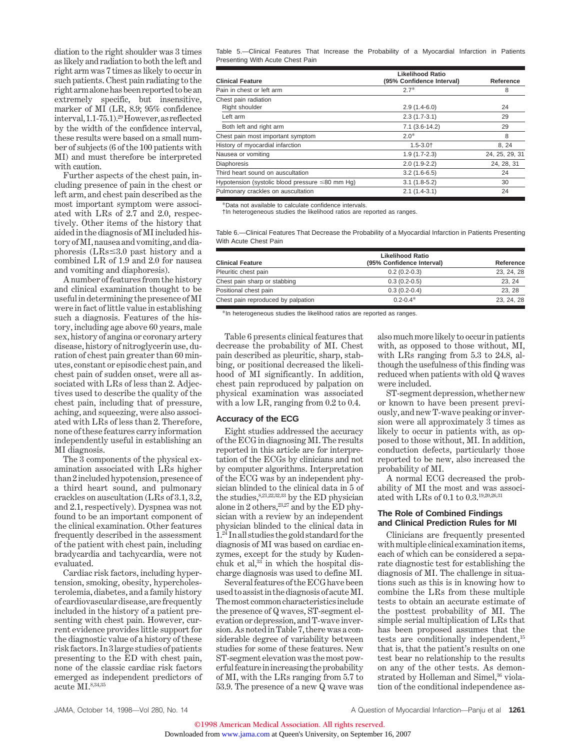diation to the right shoulder was 3 times as likely and radiation to both the left and right arm was 7 times as likely to occur in such patients. Chest pain radiating to the right arm alone has been reported to be an extremely specific, but insensitive, marker of MI (LR, 8.9; 95% confidence interval,1.1-75.1).29However,asreflected by the width of the confidence interval, these results were based on a small number of subjects (6 of the 100 patients with MI) and must therefore be interpreted with caution.

Further aspects of the chest pain, including presence of pain in the chest or left arm, and chest pain described as the most important symptom were associated with LRs of 2.7 and 2.0, respectively. Other items of the history that aided in the diagnosis of MI included history of MI, nausea and vomiting, and diaphoresis ( $LRs \leq 3.0$  past history and a combined LR of 1.9 and 2.0 for nausea and vomiting and diaphoresis).

A number of features from the history and clinical examination thought to be useful in determining the presence of MI were in fact of little value in establishing such a diagnosis. Features of the history, including age above 60 years, male sex, history of angina or coronary artery disease, history of nitroglycerin use, duration of chest pain greater than 60 minutes, constant or episodic chest pain, and chest pain of sudden onset, were all associated with LRs of less than 2. Adjectives used to describe the quality of the chest pain, including that of pressure, aching, and squeezing, were also associated with LRs of less than 2. Therefore, none of these features carry information independently useful in establishing an MI diagnosis.

The 3 components of the physical examination associated with LRs higher than 2 included hypotension, presence of a third heart sound, and pulmonary crackles on auscultation (LRs of 3.1, 3.2, and 2.1, respectively). Dyspnea was not found to be an important component of the clinical examination. Other features frequently described in the assessment of the patient with chest pain, including bradycardia and tachycardia, were not evaluated.

Cardiac risk factors, including hypertension, smoking, obesity, hypercholesterolemia, diabetes, and a family history ofcardiovasculardisease,arefrequently included in the history of a patient presenting with chest pain. However, current evidence provides little support for the diagnostic value of a history of these risk factors. In 3 large studies of patients presenting to the ED with chest pain, none of the classic cardiac risk factors emerged as independent predictors of acute $\rm ML^{8,34,35}$ 

Table 5.—Clinical Features That Increase the Probability of a Myocardial Infarction in Patients Presenting With Acute Chest Pain

|                                                 | <b>Likelihood Ratio</b>   |                |
|-------------------------------------------------|---------------------------|----------------|
| <b>Clinical Feature</b>                         | (95% Confidence Interval) | Reference      |
| Pain in chest or left arm                       | $2.7*$                    | 8              |
| Chest pain radiation                            |                           |                |
| Right shoulder                                  | $2.9(1.4-6.0)$            | 24             |
| Left arm                                        | $2.3(1.7-3.1)$            | 29             |
| Both left and right arm                         | $7.1(3.6-14.2)$           | 29             |
| Chest pain most important symptom               | $2.0*$                    | 8              |
| History of myocardial infarction                | $1.5 - 3.0 +$             | 8, 24          |
| Nausea or vomiting                              | $1.9(1.7-2.3)$            | 24, 25, 29, 31 |
| <b>Diaphoresis</b>                              | $2.0(1.9-2.2)$            | 24, 28, 31     |
| Third heart sound on auscultation               | $3.2(1.6-6.5)$            | 24             |
| Hypotension (systolic blood pressure ≤80 mm Hg) | $3.1(1.8-5.2)$            | 30             |
| Pulmonary crackles on auscultation              | $2.1(1.4-3.1)$            | 24             |

\*Data not available to calculate confidence intervals.

†In heterogeneous studies the likelihood ratios are reported as ranges.

Table 6.—Clinical Features That Decrease the Probability of a Myocardial Infarction in Patients Presenting With Acute Chest Pain

|                                    | <b>Likelihood Ratio</b>   |            |
|------------------------------------|---------------------------|------------|
| <b>Clinical Feature</b>            | (95% Confidence Interval) | Reference  |
| Pleuritic chest pain               | $0.2(0.2-0.3)$            | 23, 24, 28 |
| Chest pain sharp or stabbing       | $0.3(0.2-0.5)$            | 23.24      |
| Positional chest pain              | $0.3(0.2-0.4)$            | 23.28      |
| Chest pain reproduced by palpation | $0.2 - 0.4*$              | 23. 24. 28 |

\*In heterogeneous studies the likelihood ratios are reported as ranges.

Table 6 presents clinical features that decrease the probability of MI. Chest pain described as pleuritic, sharp, stabbing, or positional decreased the likelihood of MI significantly. In addition, chest pain reproduced by palpation on physical examination was associated with a low LR, ranging from  $0.2$  to  $0.4$ .

#### **Accuracy of the ECG**

Eight studies addressed the accuracy of the ECG in diagnosing MI. The results reported in this article are for interpretation of the ECGs by clinicians and not by computer algorithms. Interpretation of the ECG was by an independent physician blinded to the clinical data in 5 of the studies,  $8,21,22,32,33$  by the ED physician alone in 2 others, $23,27$  and by the ED physician with a review by an independent physician blinded to the clinical data in 1.24 In all studies the gold standard for the diagnosis of MI was based on cardiac enzymes, except for the study by Kudenchuk et al, $3\overline{3}$  in which the hospital discharge diagnosis was used to define MI.

Several features of the ECG have been used to assist in the diagnosis of acute MI. The most common characteristics include the presence of Q waves, ST-segment elevation or depression, and T-wave inversion. As noted in Table 7, there was a considerable degree of variability between studies for some of these features. New ST-segment elevation was the most powerful feature in increasing the probability of MI, with the LRs ranging from 5.7 to 53.9. The presence of a new Q wave was also much more likely to occur in patients with, as opposed to those without, MI, with LRs ranging from 5.3 to 24.8, although the usefulness of this finding was reduced when patients with old Q waves were included.

ST-segmentdepression,whethernew or known to have been present previously, and new T-wave peaking or inversion were all approximately 3 times as likely to occur in patients with, as opposed to those without, MI. In addition, conduction defects, particularly those reported to be new, also increased the probability of MI.

A normal ECG decreased the probability of MI the most and was associated with LRs of 0.1 to  $0.3.^{\scriptscriptstyle 19,20,26,31}$ 

#### **The Role of Combined Findings and Clinical Prediction Rules for MI**

Clinicians are frequently presented with multiple clinical examination items, each of which can be considered a separate diagnostic test for establishing the diagnosis of MI. The challenge in situations such as this is in knowing how to combine the LRs from these multiple tests to obtain an accurate estimate of the posttest probability of MI. The simple serial multiplication of LRs that has been proposed assumes that the tests are conditionally independent,<sup>15</sup> that is, that the patient's results on one test bear no relationship to the results on any of the other tests. As demonstrated by Holleman and Simel,<sup>36</sup> violation of the conditional independence as-

JAMA, October 14, 1998—Vol 280, No. 14 A Question of Myocardial Infarction—Panju et al **1261**

Downloaded from [www.jama.com](http://www.jama.com) at Queen's University, on September 16, 2007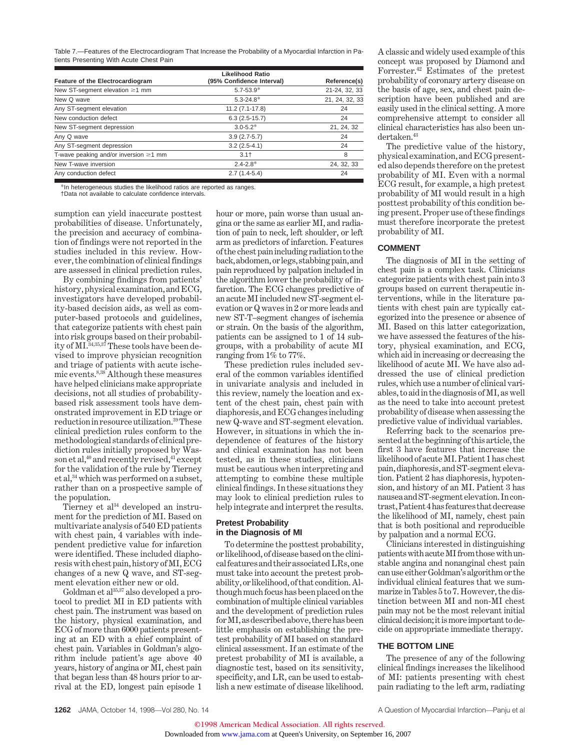Table 7.—Features of the Electrocardiogram That Increase the Probability of a Myocardial Infarction in Patients Presenting With Acute Chest Pain

|                                             | <b>Likelihood Ratio</b>   |                |
|---------------------------------------------|---------------------------|----------------|
| Feature of the Electrocardiogram            | (95% Confidence Interval) | Reference(s)   |
| New ST-segment elevation $\geq 1$ mm        | $5.7 - 53.9*$             | 21-24, 32, 33  |
| New Q wave                                  | $5.3 - 24.8*$             | 21, 24, 32, 33 |
| Any ST-segment elevation                    | $11.2(7.1-17.8)$          | 24             |
| New conduction defect                       | $6.3(2.5-15.7)$           | 24             |
| New ST-segment depression                   | $3.0 - 5.2$ *             | 21, 24, 32     |
| Any Q wave                                  | $3.9(2.7-5.7)$            | 24             |
| Any ST-segment depression                   | $3.2(2.5-4.1)$            | 24             |
| T-wave peaking and/or inversion $\geq 1$ mm | $3.1+$                    | 8              |
| New T-wave inversion                        | $2.4 - 2.8*$              | 24, 32, 33     |
| Any conduction defect                       | $2.7(1.4-5.4)$            | 24             |
|                                             |                           |                |

\*In heterogeneous studies the likelihood ratios are reported as ranges.

†Data not available to calculate confidence intervals.

sumption can yield inaccurate posttest probabilities of disease. Unfortunately, the precision and accuracy of combination of findings were not reported in the studies included in this review. However, the combination of clinical findings are assessed in clinical prediction rules.

By combining findings from patients' history, physical examination, and ECG, investigators have developed probability-based decision aids, as well as computer-based protocols and guidelines, that categorize patients with chest pain into risk groups based on their probability of MI.34,35,37 These tools have been devised to improve physician recognition and triage of patients with acute ischemic events.<sup>8,38</sup> Although these measures have helped clinicians make appropriate decisions, not all studies of probabilitybased risk assessment tools have demonstrated improvement in ED triage or reductioninresourceutilization.39These clinical prediction rules conform to the methodological standards of clinical prediction rules initially proposed by Wasson et al,<sup>40</sup> and recently revised,<sup>41</sup> except for the validation of the rule by Tierney et al,34 which was performed on a subset, rather than on a prospective sample of the population.

Tierney et al $34$  developed an instrument for the prediction of MI. Based on multivariate analysis of 540 ED patients with chest pain, 4 variables with independent predictive value for infarction were identified. These included diaphoresis with chest pain, history of MI, ECG changes of a new Q wave, and ST-segment elevation either new or old.

Goldman et al35,37 also developed a protocol to predict MI in ED patients with chest pain. The instrument was based on the history, physical examination, and ECG of more than 6000 patients presenting at an ED with a chief complaint of chest pain. Variables in Goldman's algorithm include patient's age above 40 years, history of angina or MI, chest pain that began less than 48 hours prior to arrival at the ED, longest pain episode 1

hour or more, pain worse than usual angina or the same as earlier MI, and radiation of pain to neck, left shoulder, or left arm as predictors of infarction. Features of the chest pain including radiation to the back,abdomen,orlegs,stabbingpain,and pain reproduced by palpation included in the algorithm lower the probability of infarction. The ECG changes predictive of an acute MI included new ST-segment elevation or Q waves in 2 or more leads and new ST-T–segment changes of ischemia or strain. On the basis of the algorithm, patients can be assigned to 1 of 14 subgroups, with a probability of acute MI ranging from 1% to 77%.

These prediction rules included several of the common variables identified in univariate analysis and included in this review, namely the location and extent of the chest pain, chest pain with diaphoresis, and ECG changes including new Q-wave and ST-segment elevation. However, in situations in which the independence of features of the history and clinical examination has not been tested, as in these studies, clinicians must be cautious when interpreting and attempting to combine these multiple clinical findings. In these situations they may look to clinical prediction rules to help integrate and interpret the results.

# **Pretest Probability in the Diagnosis of MI**

To determine the posttest probability, or likelihood, of disease based on the clinicalfeaturesandtheirassociatedLRs,one must take into account the pretest probability, or likelihood, of that condition. Although much focus has been placed on the combination of multiple clinical variables and the development of prediction rules forMI,asdescribedabove,therehasbeen little emphasis on establishing the pretest probability of MI based on standard clinical assessment. If an estimate of the pretest probability of MI is available, a diagnostic test, based on its sensitivity, specificity, and LR, can be used to establish a new estimate of disease likelihood.

A classic and widely used example of this concept was proposed by Diamond and Forrester.42 Estimates of the pretest probability of coronary artery disease on the basis of age, sex, and chest pain description have been published and are easily used in the clinical setting. A more comprehensive attempt to consider all clinical characteristics has also been undertaken.43

The predictive value of the history, physicalexamination,andECGpresented also depends therefore on the pretest probability of MI. Even with a normal ECG result, for example, a high pretest probability of MI would result in a high posttest probability of this condition being present. Proper use of these findings must therefore incorporate the pretest probability of MI.

# **COMMENT**

The diagnosis of MI in the setting of chest pain is a complex task. Clinicians categorize patients with chest pain into 3 groups based on current therapeutic interventions, while in the literature patients with chest pain are typically categorized into the presence or absence of MI. Based on this latter categorization, we have assessed the features of the history, physical examination, and ECG, which aid in increasing or decreasing the likelihood of acute MI. We have also addressed the use of clinical prediction rules, which use a number of clinical variables, to aid in the diagnosis of MI, as well as the need to take into account pretest probability of disease when assessing the predictive value of individual variables.

Referring back to the scenarios presented at the beginning of this article, the first 3 have features that increase the likelihood of acute MI. Patient 1 has chest pain, diaphoresis, and ST-segment elevation. Patient 2 has diaphoresis, hypotension, and history of an MI. Patient 3 has nausea and ST-segment elevation. In contrast,Patient4hasfeaturesthatdecrease the likelihood of MI, namely, chest pain that is both positional and reproducible by palpation and a normal ECG.

Clinicians interested in distinguishing patients with acute MI from those with unstable angina and nonanginal chest pain can use either Goldman's algorithm or the individual clinical features that we summarize in Tables 5 to 7. However, the distinction between MI and non-MI chest pain may not be the most relevant initial clinical decision; it is more important to decide on appropriate immediate therapy.

# **THE BOTTOM LINE**

The presence of any of the following clinical findings increases the likelihood of MI: patients presenting with chest pain radiating to the left arm, radiating